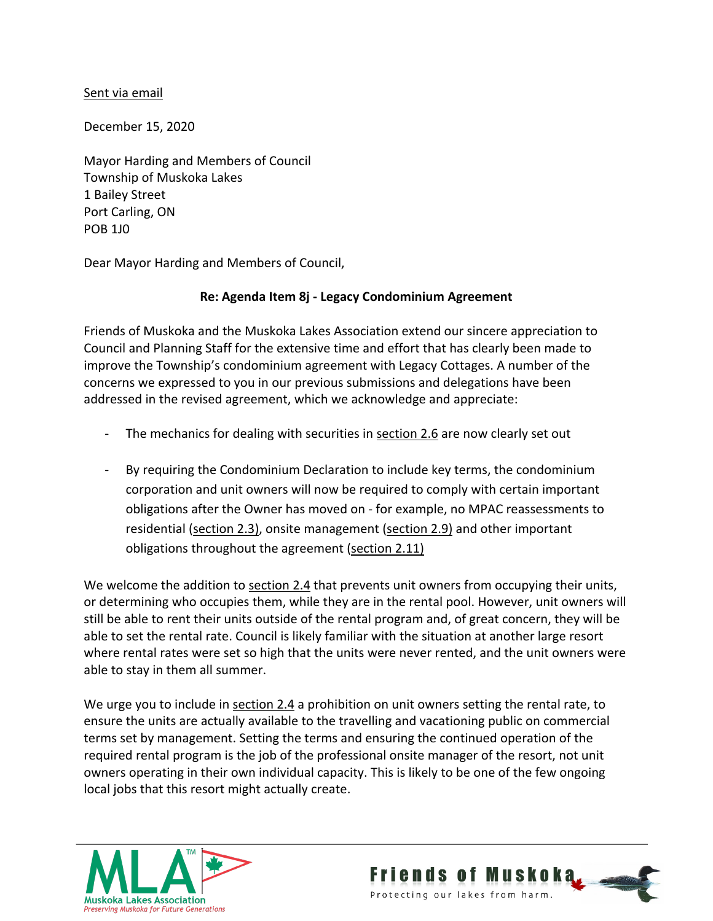## Sent via email

December 15, 2020

Mayor Harding and Members of Council Township of Muskoka Lakes 1 Bailey Street Port Carling, ON POB 1J0

Dear Mayor Harding and Members of Council,

## **Re: Agenda Item 8j - Legacy Condominium Agreement**

Friends of Muskoka and the Muskoka Lakes Association extend our sincere appreciation to Council and Planning Staff for the extensive time and effort that has clearly been made to improve the Township's condominium agreement with Legacy Cottages. A number of the concerns we expressed to you in our previous submissions and delegations have been addressed in the revised agreement, which we acknowledge and appreciate:

- The mechanics for dealing with securities in section 2.6 are now clearly set out
- By requiring the Condominium Declaration to include key terms, the condominium corporation and unit owners will now be required to comply with certain important obligations after the Owner has moved on - for example, no MPAC reassessments to residential (section 2.3), onsite management (section 2.9) and other important obligations throughout the agreement (section 2.11)

We welcome the addition to section 2.4 that prevents unit owners from occupying their units, or determining who occupies them, while they are in the rental pool. However, unit owners will still be able to rent their units outside of the rental program and, of great concern, they will be able to set the rental rate. Council is likely familiar with the situation at another large resort where rental rates were set so high that the units were never rented, and the unit owners were able to stay in them all summer.

We urge you to include in section 2.4 a prohibition on unit owners setting the rental rate, to ensure the units are actually available to the travelling and vacationing public on commercial terms set by management. Setting the terms and ensuring the continued operation of the required rental program is the job of the professional onsite manager of the resort, not unit owners operating in their own individual capacity. This is likely to be one of the few ongoing local jobs that this resort might actually create.



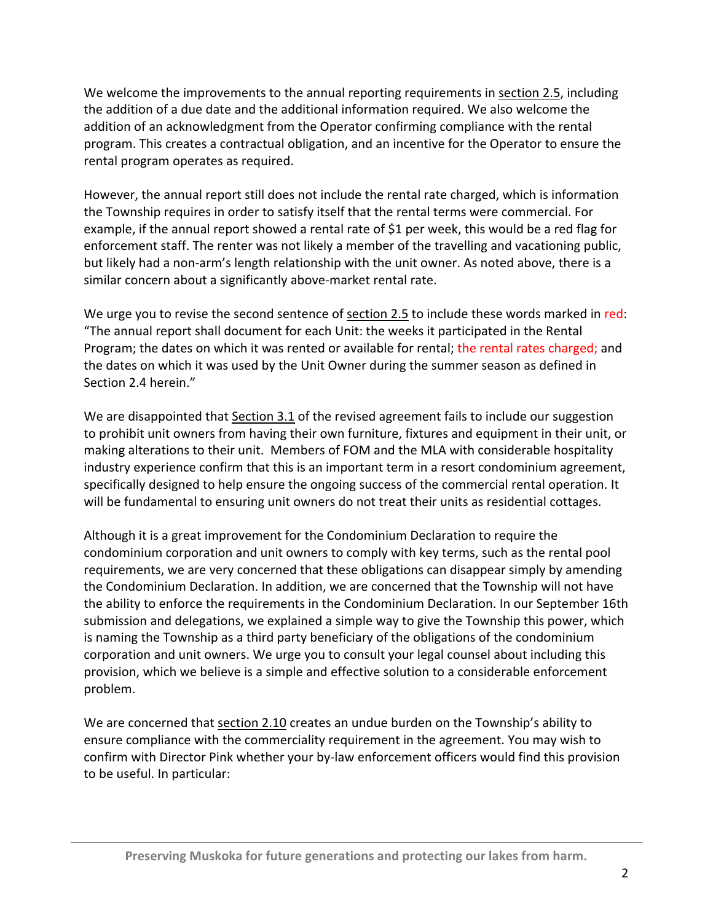We welcome the improvements to the annual reporting requirements in section 2.5, including the addition of a due date and the additional information required. We also welcome the addition of an acknowledgment from the Operator confirming compliance with the rental program. This creates a contractual obligation, and an incentive for the Operator to ensure the rental program operates as required.

However, the annual report still does not include the rental rate charged, which is information the Township requires in order to satisfy itself that the rental terms were commercial. For example, if the annual report showed a rental rate of \$1 per week, this would be a red flag for enforcement staff. The renter was not likely a member of the travelling and vacationing public, but likely had a non-arm's length relationship with the unit owner. As noted above, there is a similar concern about a significantly above-market rental rate.

We urge you to revise the second sentence of section 2.5 to include these words marked in red: "The annual report shall document for each Unit: the weeks it participated in the Rental Program; the dates on which it was rented or available for rental; the rental rates charged; and the dates on which it was used by the Unit Owner during the summer season as defined in Section 2.4 herein."

We are disappointed that Section 3.1 of the revised agreement fails to include our suggestion to prohibit unit owners from having their own furniture, fixtures and equipment in their unit, or making alterations to their unit. Members of FOM and the MLA with considerable hospitality industry experience confirm that this is an important term in a resort condominium agreement, specifically designed to help ensure the ongoing success of the commercial rental operation. It will be fundamental to ensuring unit owners do not treat their units as residential cottages.

Although it is a great improvement for the Condominium Declaration to require the condominium corporation and unit owners to comply with key terms, such as the rental pool requirements, we are very concerned that these obligations can disappear simply by amending the Condominium Declaration. In addition, we are concerned that the Township will not have the ability to enforce the requirements in the Condominium Declaration. In our September 16th submission and delegations, we explained a simple way to give the Township this power, which is naming the Township as a third party beneficiary of the obligations of the condominium corporation and unit owners. We urge you to consult your legal counsel about including this provision, which we believe is a simple and effective solution to a considerable enforcement problem.

We are concerned that section 2.10 creates an undue burden on the Township's ability to ensure compliance with the commerciality requirement in the agreement. You may wish to confirm with Director Pink whether your by-law enforcement officers would find this provision to be useful. In particular: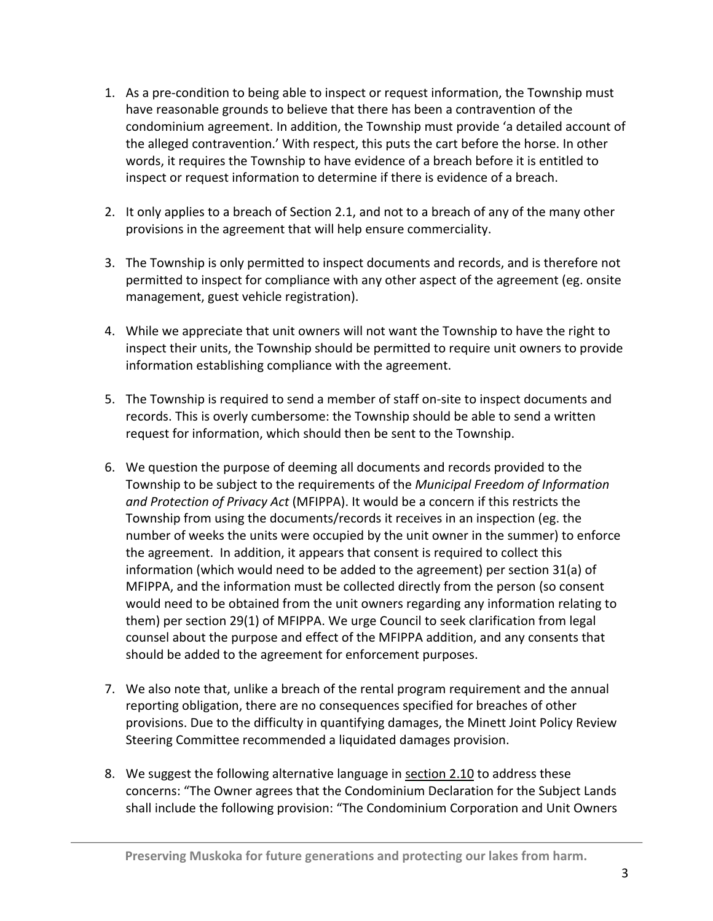- 1. As a pre-condition to being able to inspect or request information, the Township must have reasonable grounds to believe that there has been a contravention of the condominium agreement. In addition, the Township must provide 'a detailed account of the alleged contravention.' With respect, this puts the cart before the horse. In other words, it requires the Township to have evidence of a breach before it is entitled to inspect or request information to determine if there is evidence of a breach.
- 2. It only applies to a breach of Section 2.1, and not to a breach of any of the many other provisions in the agreement that will help ensure commerciality.
- 3. The Township is only permitted to inspect documents and records, and is therefore not permitted to inspect for compliance with any other aspect of the agreement (eg. onsite management, guest vehicle registration).
- 4. While we appreciate that unit owners will not want the Township to have the right to inspect their units, the Township should be permitted to require unit owners to provide information establishing compliance with the agreement.
- 5. The Township is required to send a member of staff on-site to inspect documents and records. This is overly cumbersome: the Township should be able to send a written request for information, which should then be sent to the Township.
- 6. We question the purpose of deeming all documents and records provided to the Township to be subject to the requirements of the *Municipal Freedom of Information and Protection of Privacy Act* (MFIPPA). It would be a concern if this restricts the Township from using the documents/records it receives in an inspection (eg. the number of weeks the units were occupied by the unit owner in the summer) to enforce the agreement. In addition, it appears that consent is required to collect this information (which would need to be added to the agreement) per section 31(a) of MFIPPA, and the information must be collected directly from the person (so consent would need to be obtained from the unit owners regarding any information relating to them) per section 29(1) of MFIPPA. We urge Council to seek clarification from legal counsel about the purpose and effect of the MFIPPA addition, and any consents that should be added to the agreement for enforcement purposes.
- 7. We also note that, unlike a breach of the rental program requirement and the annual reporting obligation, there are no consequences specified for breaches of other provisions. Due to the difficulty in quantifying damages, the Minett Joint Policy Review Steering Committee recommended a liquidated damages provision.
- 8. We suggest the following alternative language in section 2.10 to address these concerns: "The Owner agrees that the Condominium Declaration for the Subject Lands shall include the following provision: "The Condominium Corporation and Unit Owners